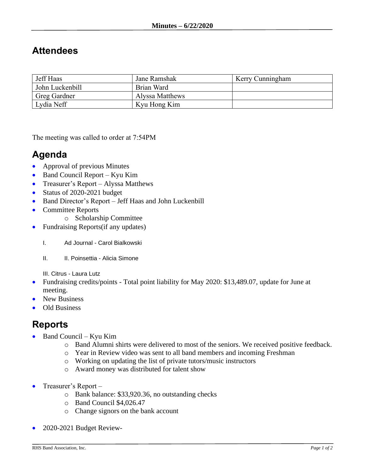## **Attendees**

| Jeff Haas           | Jane Ramshak    | Kerry Cunningham |
|---------------------|-----------------|------------------|
| John Luckenbill     | Brian Ward      |                  |
| <b>Greg Gardner</b> | Alyssa Matthews |                  |
| Lydia Neff          | Kyu Hong Kim    |                  |

The meeting was called to order at 7:54PM

## **Agenda**

- Approval of previous Minutes
- Band Council Report Kyu Kim
- Treasurer's Report Alyssa Matthews
- Status of 2020-2021 budget
- Band Director's Report Jeff Haas and John Luckenbill
- Committee Reports
	- o Scholarship Committee
- Fundraising Reports (if any updates)
	- I. Ad Journal Carol Bialkowski
	- II. II. Poinsettia Alicia Simone

III. Citrus - Laura Lutz

- Fundraising credits/points Total point liability for May 2020: \$13,489.07, update for June at meeting.
- New Business
- Old Business

## **Reports**

- Band Council Kyu Kim
	- o Band Alumni shirts were delivered to most of the seniors. We received positive feedback.
	- o Year in Review video was sent to all band members and incoming Freshman
	- o Working on updating the list of private tutors/music instructors
	- o Award money was distributed for talent show
- Treasurer's Report
	- o Bank balance: \$33,920.36, no outstanding checks
	- o Band Council \$4,026.47
	- o Change signors on the bank account
- 2020-2021 Budget Review-